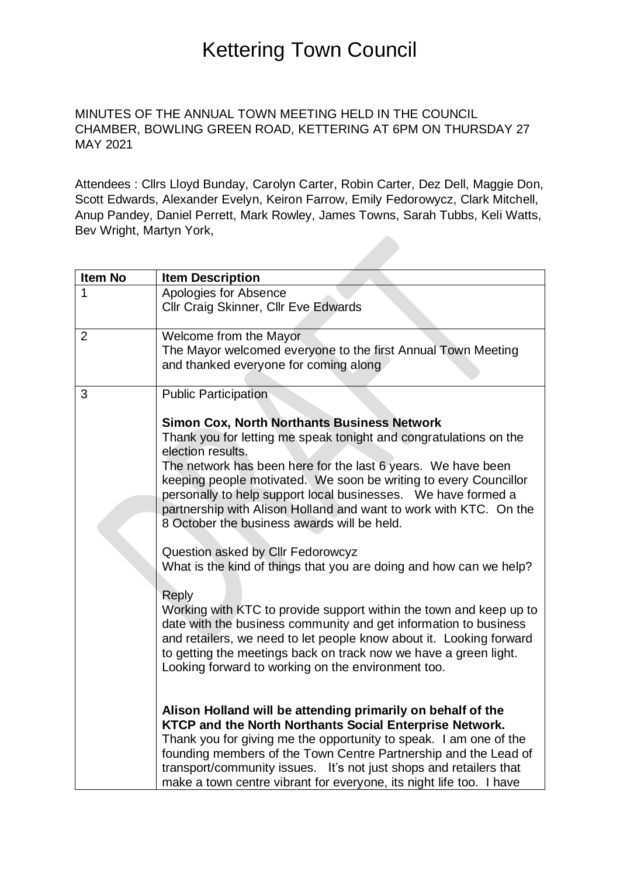MINUTES OF THE ANNUAL TOWN MEETING HELD IN THE COUNCIL CHAMBER, BOWLING GREEN ROAD, KETTERING AT 6PM ON THURSDAY 27 MAY 2021

Attendees : Cllrs Lloyd Bunday, Carolyn Carter, Robin Carter, Dez Dell, Maggie Don, Scott Edwards, Alexander Evelyn, Keiron Farrow, Emily Fedorowycz, Clark Mitchell, Anup Pandey, Daniel Perrett, Mark Rowley, James Towns, Sarah Tubbs, Keli Watts, Bev Wright, Martyn York,

| <b>Item No</b> | <b>Item Description</b>                                                                                                                                                                                                                                                                                                                                                                                                                                                                                                                                                                                                                                                                                                                                                                                                                                                                                                                                                                                                                                                                                                                                                                                                                                                                                                                                                                   |
|----------------|-------------------------------------------------------------------------------------------------------------------------------------------------------------------------------------------------------------------------------------------------------------------------------------------------------------------------------------------------------------------------------------------------------------------------------------------------------------------------------------------------------------------------------------------------------------------------------------------------------------------------------------------------------------------------------------------------------------------------------------------------------------------------------------------------------------------------------------------------------------------------------------------------------------------------------------------------------------------------------------------------------------------------------------------------------------------------------------------------------------------------------------------------------------------------------------------------------------------------------------------------------------------------------------------------------------------------------------------------------------------------------------------|
| 1              | Apologies for Absence<br><b>Cllr Craig Skinner, Cllr Eve Edwards</b>                                                                                                                                                                                                                                                                                                                                                                                                                                                                                                                                                                                                                                                                                                                                                                                                                                                                                                                                                                                                                                                                                                                                                                                                                                                                                                                      |
| $\overline{2}$ | Welcome from the Mayor<br>The Mayor welcomed everyone to the first Annual Town Meeting<br>and thanked everyone for coming along                                                                                                                                                                                                                                                                                                                                                                                                                                                                                                                                                                                                                                                                                                                                                                                                                                                                                                                                                                                                                                                                                                                                                                                                                                                           |
| 3              | <b>Public Participation</b><br><b>Simon Cox, North Northants Business Network</b><br>Thank you for letting me speak tonight and congratulations on the<br>election results.<br>The network has been here for the last 6 years. We have been<br>keeping people motivated. We soon be writing to every Councillor<br>personally to help support local businesses. We have formed a<br>partnership with Alison Holland and want to work with KTC. On the<br>8 October the business awards will be held.<br>Question asked by Cllr Fedorowcyz<br>What is the kind of things that you are doing and how can we help?<br><b>Reply</b><br>Working with KTC to provide support within the town and keep up to<br>date with the business community and get information to business<br>and retailers, we need to let people know about it. Looking forward<br>to getting the meetings back on track now we have a green light.<br>Looking forward to working on the environment too.<br>Alison Holland will be attending primarily on behalf of the<br>KTCP and the North Northants Social Enterprise Network.<br>Thank you for giving me the opportunity to speak. I am one of the<br>founding members of the Town Centre Partnership and the Lead of<br>transport/community issues. It's not just shops and retailers that<br>make a town centre vibrant for everyone, its night life too. I have |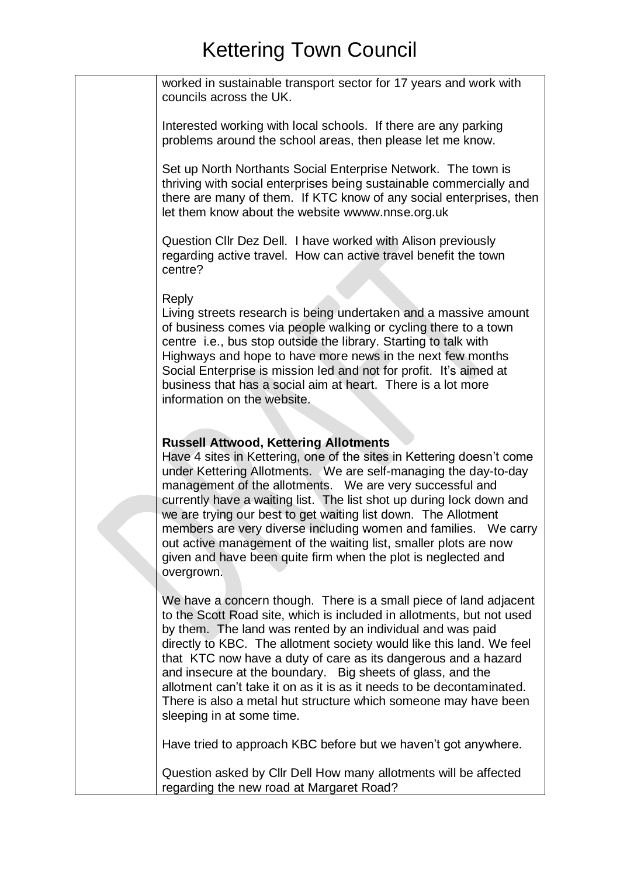| worked in sustainable transport sector for 17 years and work with<br>councils across the UK.                                                                                                                                                                                                                                                                                                                                                                                                                                                                                                                         |
|----------------------------------------------------------------------------------------------------------------------------------------------------------------------------------------------------------------------------------------------------------------------------------------------------------------------------------------------------------------------------------------------------------------------------------------------------------------------------------------------------------------------------------------------------------------------------------------------------------------------|
| Interested working with local schools. If there are any parking<br>problems around the school areas, then please let me know.                                                                                                                                                                                                                                                                                                                                                                                                                                                                                        |
| Set up North Northants Social Enterprise Network. The town is<br>thriving with social enterprises being sustainable commercially and<br>there are many of them. If KTC know of any social enterprises, then<br>let them know about the website wwww.nnse.org.uk                                                                                                                                                                                                                                                                                                                                                      |
| Question CIIr Dez Dell. I have worked with Alison previously<br>regarding active travel. How can active travel benefit the town<br>centre?                                                                                                                                                                                                                                                                                                                                                                                                                                                                           |
| <b>Reply</b><br>Living streets research is being undertaken and a massive amount<br>of business comes via people walking or cycling there to a town<br>centre i.e., bus stop outside the library. Starting to talk with<br>Highways and hope to have more news in the next few months<br>Social Enterprise is mission led and not for profit. It's aimed at<br>business that has a social aim at heart. There is a lot more<br>information on the website.                                                                                                                                                           |
| <b>Russell Attwood, Kettering Allotments</b><br>Have 4 sites in Kettering, one of the sites in Kettering doesn't come<br>under Kettering Allotments. We are self-managing the day-to-day<br>management of the allotments. We are very successful and<br>currently have a waiting list. The list shot up during lock down and<br>we are trying our best to get waiting list down. The Allotment<br>members are very diverse including women and families. We carry<br>out active management of the waiting list, smaller plots are now<br>given and have been quite firm when the plot is neglected and<br>overgrown. |
| We have a concern though. There is a small piece of land adjacent<br>to the Scott Road site, which is included in allotments, but not used<br>by them. The land was rented by an individual and was paid<br>directly to KBC. The allotment society would like this land. We feel<br>that KTC now have a duty of care as its dangerous and a hazard<br>and insecure at the boundary. Big sheets of glass, and the<br>allotment can't take it on as it is as it needs to be decontaminated.<br>There is also a metal hut structure which someone may have been<br>sleeping in at some time.                            |
| Have tried to approach KBC before but we haven't got anywhere.                                                                                                                                                                                                                                                                                                                                                                                                                                                                                                                                                       |
| Question asked by Cllr Dell How many allotments will be affected<br>regarding the new road at Margaret Road?                                                                                                                                                                                                                                                                                                                                                                                                                                                                                                         |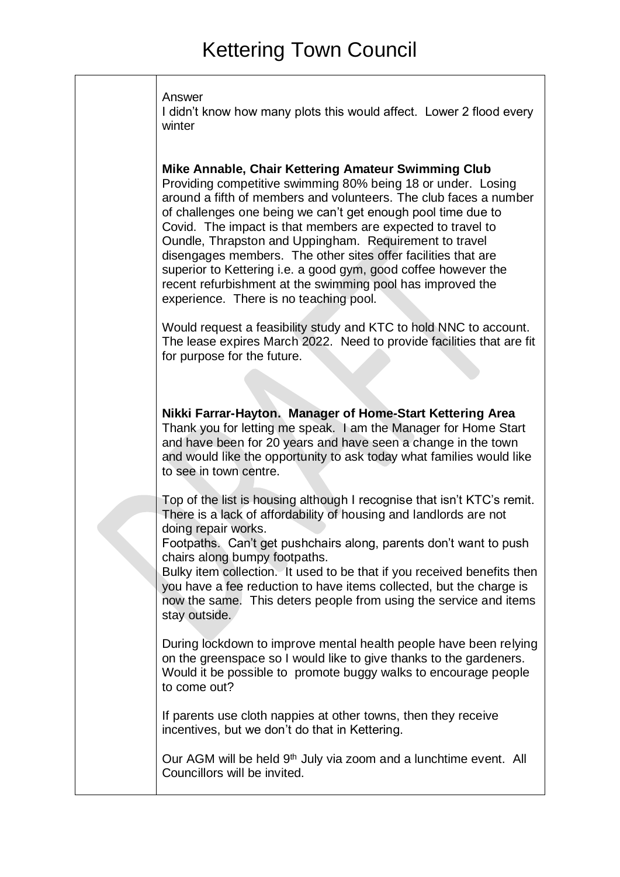|  | Answer |  |
|--|--------|--|
|--|--------|--|

I didn't know how many plots this would affect. Lower 2 flood every winter

#### **Mike Annable, Chair Kettering Amateur Swimming Club**

Providing competitive swimming 80% being 18 or under. Losing around a fifth of members and volunteers. The club faces a number of challenges one being we can't get enough pool time due to Covid. The impact is that members are expected to travel to Oundle, Thrapston and Uppingham. Requirement to travel disengages members. The other sites offer facilities that are superior to Kettering i.e. a good gym, good coffee however the recent refurbishment at the swimming pool has improved the experience. There is no teaching pool.

Would request a feasibility study and KTC to hold NNC to account. The lease expires March 2022. Need to provide facilities that are fit for purpose for the future.

**Nikki Farrar-Hayton. Manager of Home-Start Kettering Area** Thank you for letting me speak. I am the Manager for Home Start and have been for 20 years and have seen a change in the town and would like the opportunity to ask today what families would like to see in town centre.

Top of the list is housing although I recognise that isn't KTC's remit. There is a lack of affordability of housing and landlords are not doing repair works.

Footpaths. Can't get pushchairs along, parents don't want to push chairs along bumpy footpaths.

Bulky item collection. It used to be that if you received benefits then you have a fee reduction to have items collected, but the charge is now the same. This deters people from using the service and items stay outside.

During lockdown to improve mental health people have been relying on the greenspace so I would like to give thanks to the gardeners. Would it be possible to promote buggy walks to encourage people to come out?

If parents use cloth nappies at other towns, then they receive incentives, but we don't do that in Kettering.

Our AGM will be held 9<sup>th</sup> July via zoom and a lunchtime event. All Councillors will be invited.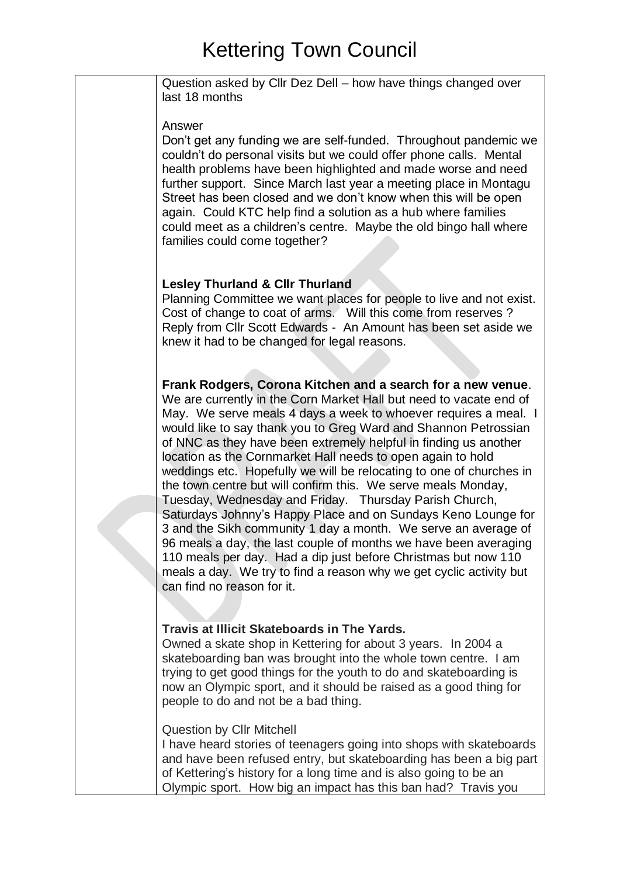| Question asked by Cllr Dez Dell - how have things changed over<br>last 18 months                                                                                                                                                                                                                                                                                                                                                                                                                                                                                                                                                                                                                                                                                                                                                                                                                                                                                                           |
|--------------------------------------------------------------------------------------------------------------------------------------------------------------------------------------------------------------------------------------------------------------------------------------------------------------------------------------------------------------------------------------------------------------------------------------------------------------------------------------------------------------------------------------------------------------------------------------------------------------------------------------------------------------------------------------------------------------------------------------------------------------------------------------------------------------------------------------------------------------------------------------------------------------------------------------------------------------------------------------------|
| Answer<br>Don't get any funding we are self-funded. Throughout pandemic we<br>couldn't do personal visits but we could offer phone calls. Mental<br>health problems have been highlighted and made worse and need<br>further support. Since March last year a meeting place in Montagu<br>Street has been closed and we don't know when this will be open<br>again. Could KTC help find a solution as a hub where families<br>could meet as a children's centre. Maybe the old bingo hall where<br>families could come together?                                                                                                                                                                                                                                                                                                                                                                                                                                                           |
| <b>Lesley Thurland &amp; Clir Thurland</b><br>Planning Committee we want places for people to live and not exist.<br>Cost of change to coat of arms. Will this come from reserves?<br>Reply from Cllr Scott Edwards - An Amount has been set aside we<br>knew it had to be changed for legal reasons.                                                                                                                                                                                                                                                                                                                                                                                                                                                                                                                                                                                                                                                                                      |
| Frank Rodgers, Corona Kitchen and a search for a new venue.<br>We are currently in the Corn Market Hall but need to vacate end of<br>May. We serve meals 4 days a week to whoever requires a meal. I<br>would like to say thank you to Greg Ward and Shannon Petrossian<br>of NNC as they have been extremely helpful in finding us another<br>location as the Cornmarket Hall needs to open again to hold<br>weddings etc. Hopefully we will be relocating to one of churches in<br>the town centre but will confirm this. We serve meals Monday,<br>Tuesday, Wednesday and Friday. Thursday Parish Church,<br>Saturdays Johnny's Happy Place and on Sundays Keno Lounge for<br>3 and the Sikh community 1 day a month. We serve an average of<br>96 meals a day, the last couple of months we have been averaging<br>110 meals per day. Had a dip just before Christmas but now 110<br>meals a day. We try to find a reason why we get cyclic activity but<br>can find no reason for it. |
| Travis at Illicit Skateboards in The Yards.<br>Owned a skate shop in Kettering for about 3 years. In 2004 a<br>skateboarding ban was brought into the whole town centre. I am<br>trying to get good things for the youth to do and skateboarding is<br>now an Olympic sport, and it should be raised as a good thing for<br>people to do and not be a bad thing.                                                                                                                                                                                                                                                                                                                                                                                                                                                                                                                                                                                                                           |
| <b>Question by CIIr Mitchell</b><br>I have heard stories of teenagers going into shops with skateboards<br>and have been refused entry, but skateboarding has been a big part<br>of Kettering's history for a long time and is also going to be an<br>Olympic sport. How big an impact has this ban had? Travis you                                                                                                                                                                                                                                                                                                                                                                                                                                                                                                                                                                                                                                                                        |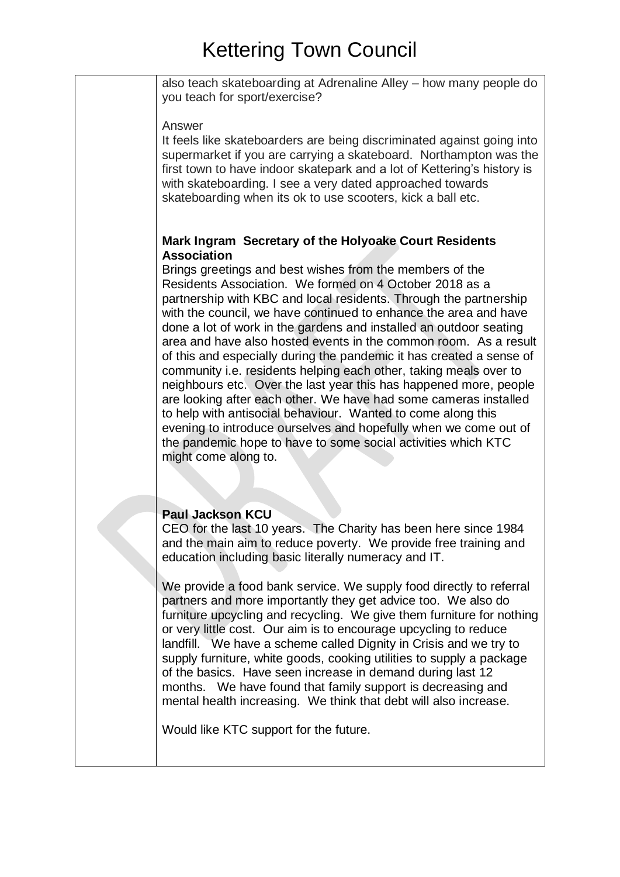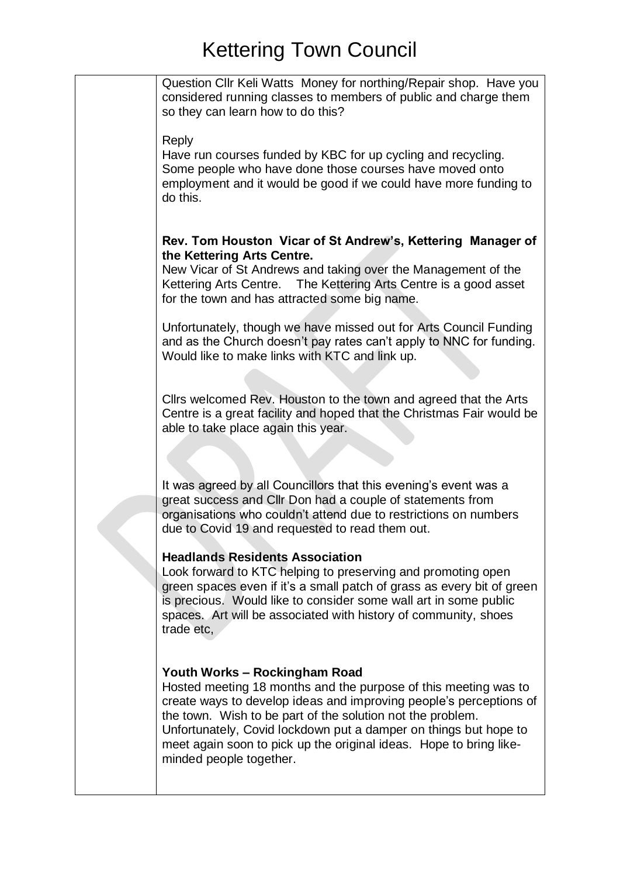